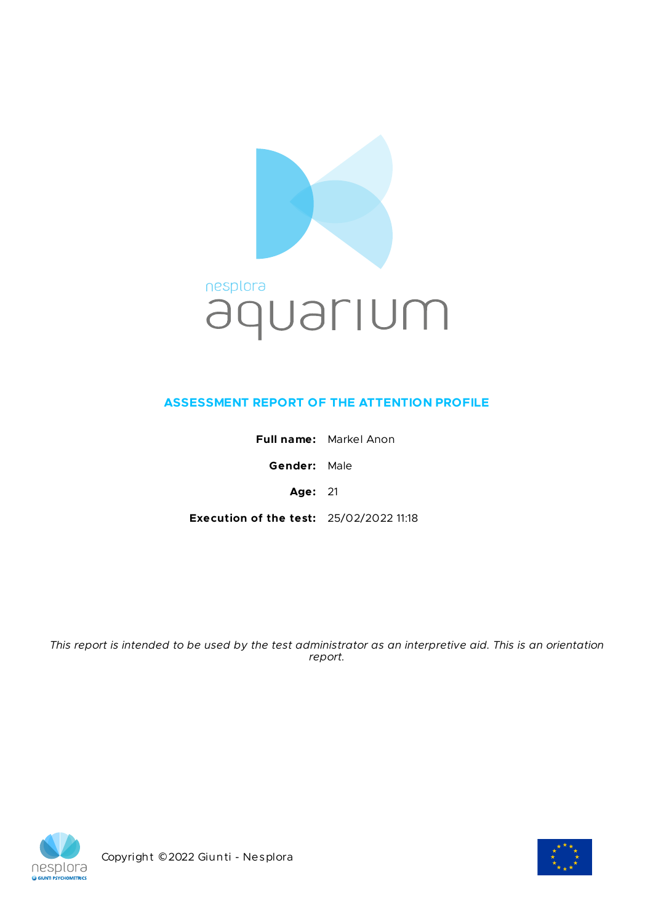

# **ASSESSMENT REPORT OF THE ATTENTION PROFILE**

**Full name:** Markel Anon **Gender:** Male **Age:** 21 **Execution of the test:** 25/02/2022 11:18

This report is intended to be used by the test administrator as an interpretive aid. This is an orientation *report.*



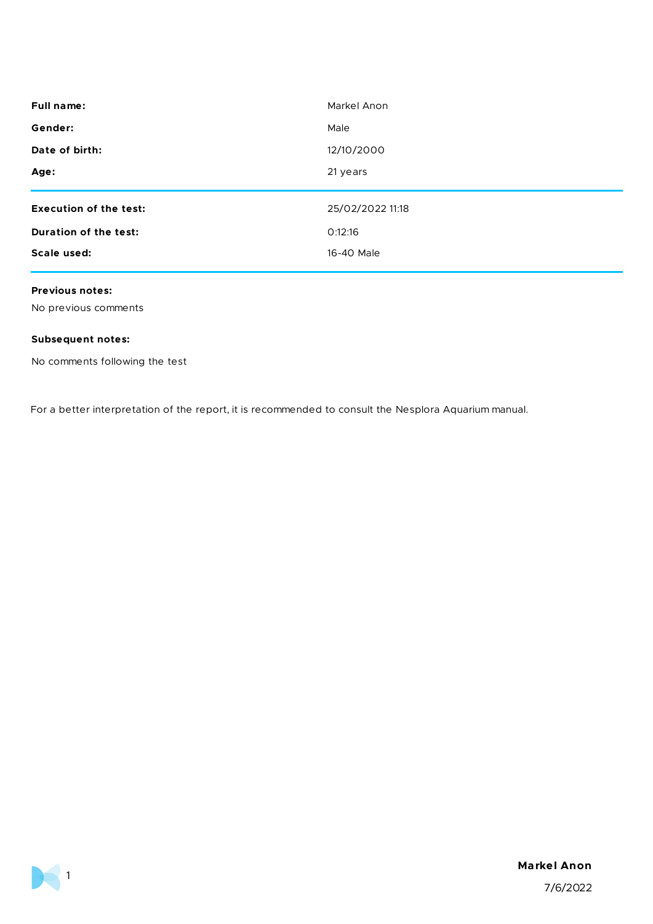| <b>Full name:</b>             | Markel Anon      |
|-------------------------------|------------------|
| Gender:                       | Male             |
| Date of birth:                | 12/10/2000       |
| Age:                          | 21 years         |
|                               |                  |
|                               |                  |
| <b>Execution of the test:</b> | 25/02/2022 11:18 |
| Duration of the test:         | O:12:16          |
| Scale used:                   | 16-40 Male       |

#### **Previous notes:**

No previous comments

## **Subsequent notes:**

 $\blacktriangleright$  1

No comments following the test

For a better interpretation of the report, it is recommended to consult the Nesplora Aquarium manual.

## **Markel Anon**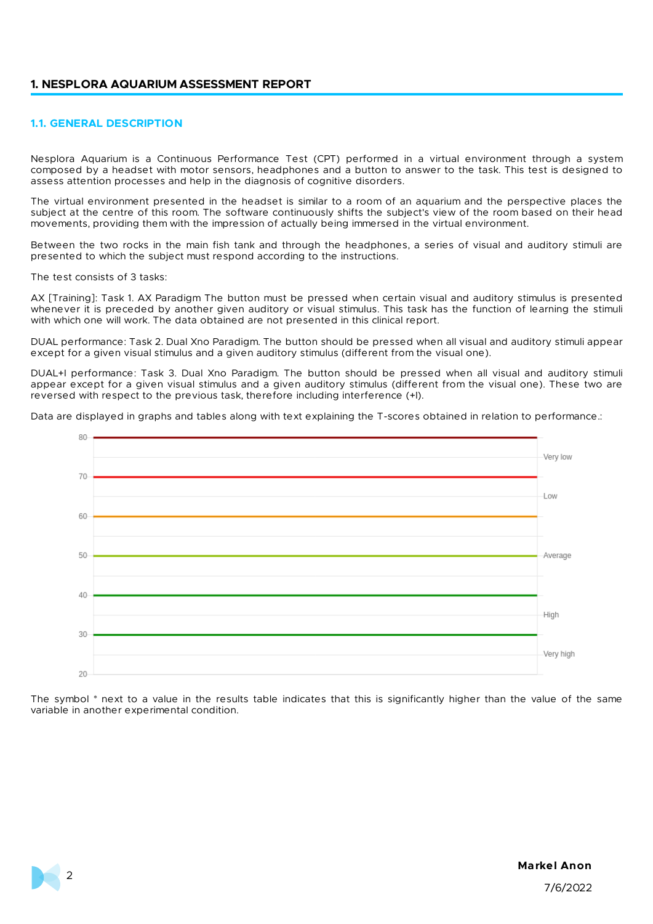#### **1. NESPLORA AQUARIUM ASSESSMENT REPORT**

#### **1.1. GENERAL DESCRIPTION**

Nesplora Aquarium is a Continuous Performance Test (CPT) performed in a virtual environment through a system composed by a headset with motor sensors, headphones and a button to answer to the task. This test is designed to assess attention processes and help in the diagnosis of cognitive disorders.

The virtual environment presented in the headset is similar to a room of an aquarium and the perspective places the subject at the centre of this room. The software continuously shifts the subject's view of the room based on their head movements, providing them with the impression of actually being immersed in the virtual environment.

Between the two rocks in the main fish tank and through the headphones, a series of visual and auditory stimuli are presented to which the subject must respond according to the instructions.

The test consists of 3 tasks:

AX [Training]: Task 1. AX Paradigm The button must be pressed when certain visual and auditory stimulus is presented whenever it is preceded by another given auditory or visual stimulus. This task has the function of learning the stimuli with which one will work. The data obtained are not presented in this clinical report.

DUAL performance: Task 2. Dual Xno Paradigm. The button should be pressed when all visual and auditory stimuli appear except for a given visual stimulus and a given auditory stimulus (different from the visual one).

DUAL+I performance: Task 3. Dual Xno Paradigm. The button should be pressed when all visual and auditory stimuli appear except for a given visual stimulus and a given auditory stimulus (different from the visual one). These two are reversed with respect to the previous task, therefore including interference (+I).

Data are displayed in graphs and tables along with text explaining the T-scores obtained in relation to performance.:



The symbol \* next to a value in the results table indicates that this is significantly higher than the value of the same variable in another experimental condition.

## **Markel Anon**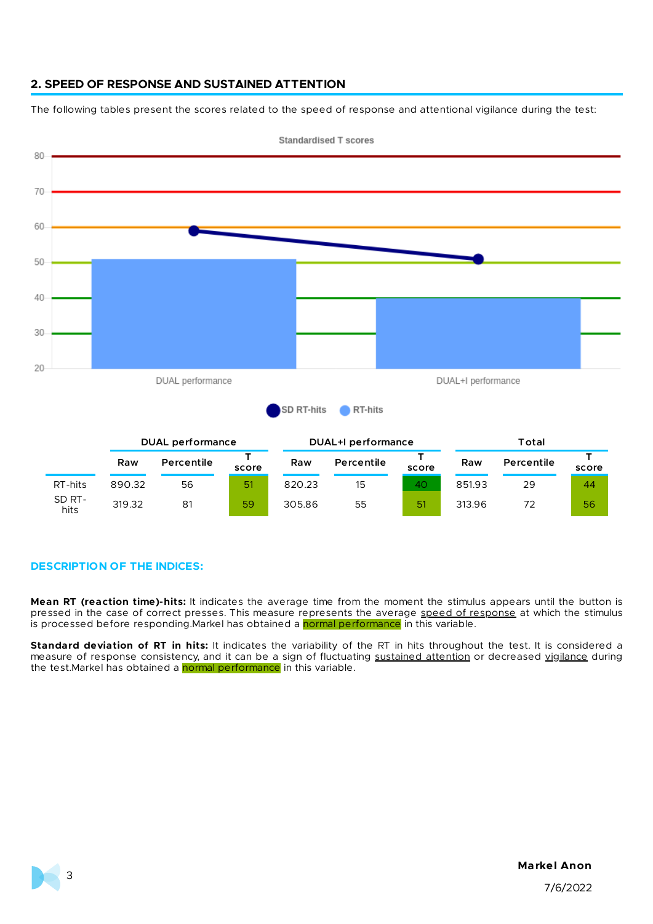## **2. SPEED OF RESPONSE AND SUSTAINED ATTENTION**

The following tables present the scores related to the speed of response and attentional vigilance during the test:



**Standardised T scores** 

#### **DESCRIPTION OF THE INDICES:**

**Mean RT (reaction time)-hits:** It indicates the average time from the moment the stimulus appears until the button is pressed in the case of correct presses. This measure represents the average speed of response at which the stimulus is processed before responding.Markel has obtained a normal performance in this variable.

**Standard deviation of RT in hits:** It indicates the variability of the RT in hits throughout the test. It is considered a measure of response consistency, and it can be a sign of fluctuating sustained attention or decreased vigilance during the test.Markel has obtained a normal performance in this variable.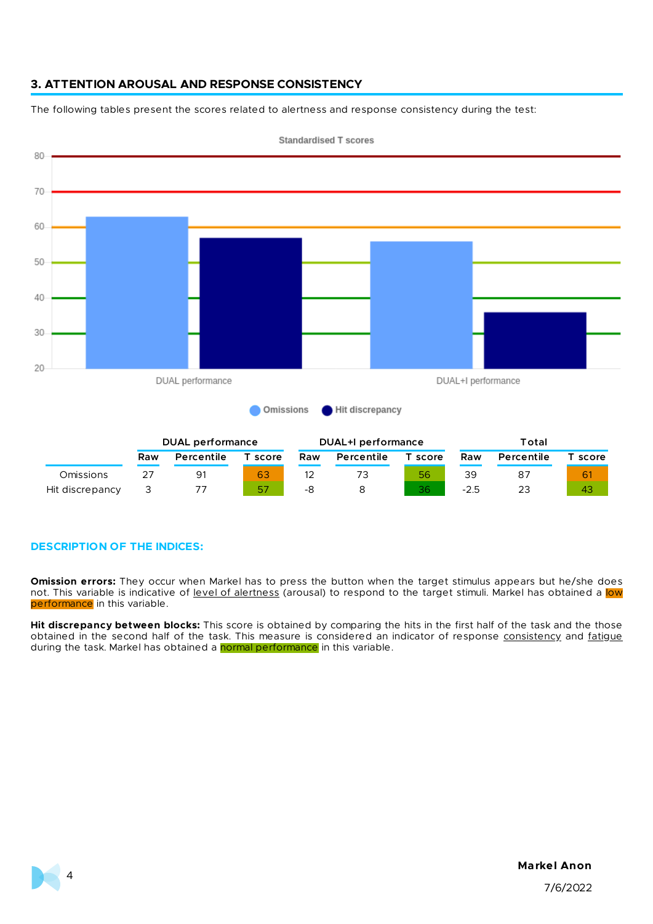# **3. ATTENTION AROUSAL AND RESPONSE CONSISTENCY**

The following tables present the scores related to alertness and response consistency during the test:



**Standardised T scores** 

## **DESCRIPTION OF THE INDICES:**

**Omission errors:** They occur when Markel has to press the button when the target stimulus appears but he/she does not. This variable is indicative of level of alertness (arousal) to respond to the target stimuli. Markel has obtained a low performance in this variable.

**Hit discrepancy between blocks:** This score is obtained by comparing the hits in the first half of the task and the those obtained in the second half of the task. This measure is considered an indicator of response consistency and fatigue during the task. Markel has obtained a normal performance in this variable.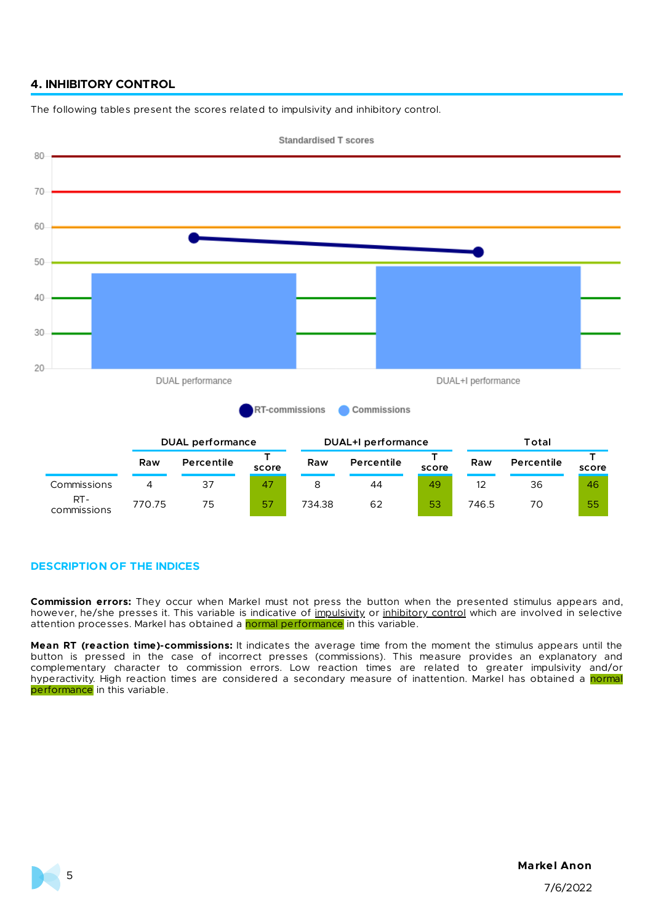## **4. INHIBITORY CONTROL**

The following tables present the scores related to impulsivity and inhibitory control.



#### **DESCRIPTION OF THE INDICES**

**Commission errors:** They occur when Markel must not press the button when the presented stimulus appears and, however, he/she presses it. This variable is indicative of impulsivity or inhibitory control which are involved in selective attention processes. Markel has obtained a normal performance in this variable.

**Mean RT (reaction time)-commissions:** It indicates the average time from the moment the stimulus appears until the button is pressed in the case of incorrect presses (commissions). This measure provides an explanatory and complementary character to commission errors. Low reaction times are related to greater impulsivity and/or hyperactivity. High reaction times are considered a secondary measure of inattention. Markel has obtained a normal performance in this variable.

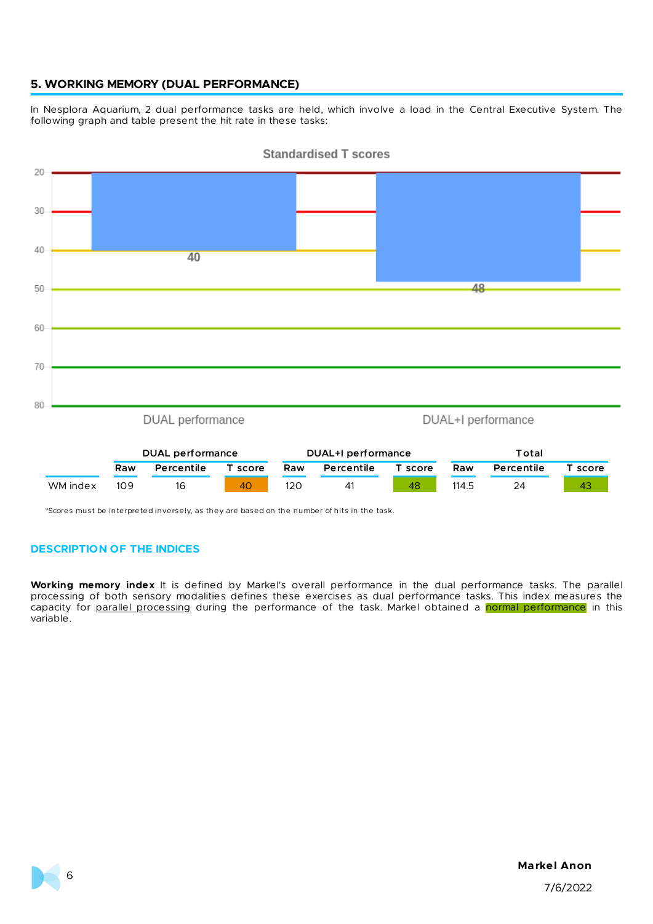## **5. WORKING MEMORY (DUAL PERFORMANCE)**

In Nesplora Aquarium, 2 dual performance tasks are held, which involve a load in the Central Executive System. The following graph and table present the hit rate in these tasks:



**Standardised T scores** 

**Raw Percentile T score Raw Percentile T score Raw Percentile T score** WM index 109 16 40 120 41 48 114.5 24 43

\*Scores must be interpreted inversely, as they are based on the number of hits in the task.

## **DESCRIPTION OF THE INDICES**

**Working memory index** It is defined by Markel's overall performance in the dual performance tasks. The parallel processing of both sensory modalities defines these exercises as dual performance tasks. This index measures the capacity for parallel processing during the performance of the task. Markel obtained a normal performance in this variable.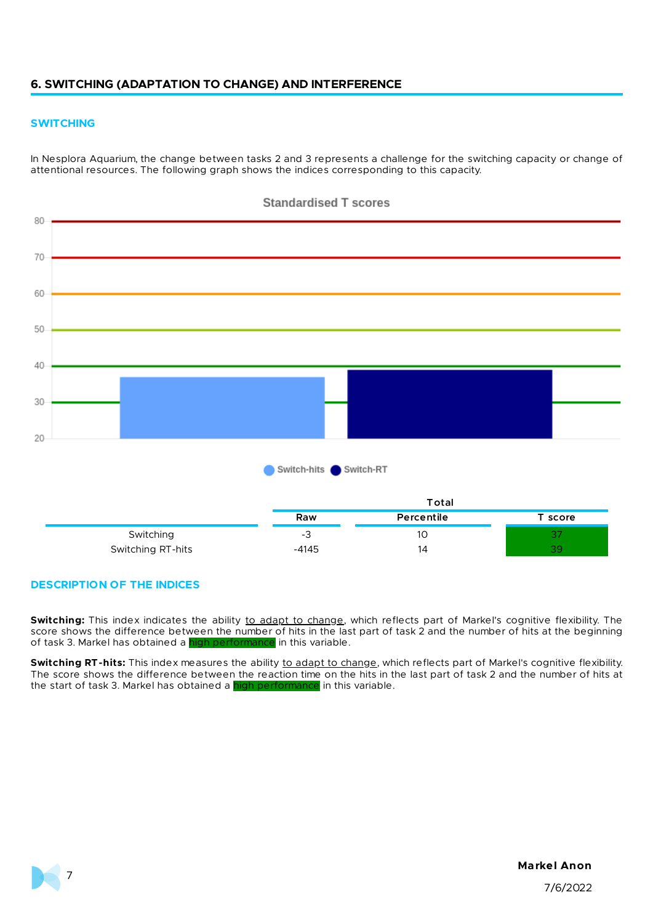## **6. SWITCHING (ADAPTATION TO CHANGE) AND INTERFERENCE**

#### **SWITCHING**

In Nesplora Aquarium, the change between tasks 2 and 3 represents a challenge for the switching capacity or change of attentional resources. The following graph shows the indices corresponding to this capacity.



#### **DESCRIPTION OF THE INDICES**

Switching: This index indicates the ability to adapt to change, which reflects part of Markel's cognitive flexibility. The score shows the difference between the number of hits in the last part of task 2 and the number of hits at the beginning of task 3. Markel has obtained a high performance in this variable.

Switching RT-hits: This index measures the ability to adapt to change, which reflects part of Markel's cognitive flexibility. The score shows the difference between the reaction time on the hits in the last part of task 2 and the number of hits at the start of task 3. Markel has obtained a high performance in this variable.

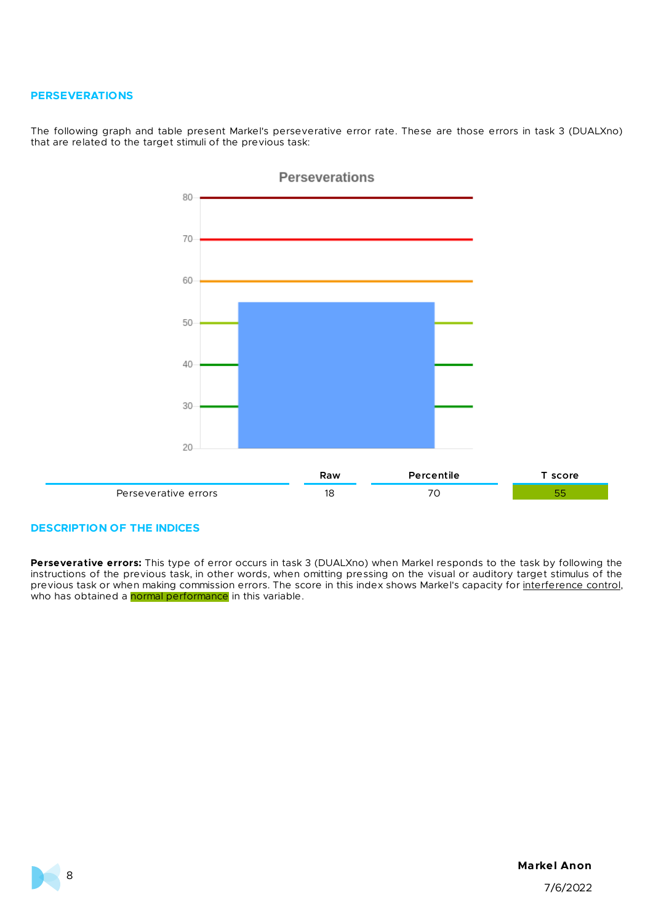#### **PERSEVERATIONS**

The following graph and table present Markel's perseverative error rate. These are those errors in task 3 (DUALXno) that are related to the target stimuli of the previous task:



#### **DESCRIPTION OF THE INDICES**

**Perseverative errors:** This type of error occurs in task 3 (DUALXno) when Markel responds to the task by following the instructions of the previous task, in other words, when omitting pressing on the visual or auditory target stimulus of the previous task or when making commission errors. The score in this index shows Markel's capacity for <u>interference control</u>, who has obtained a **normal performance** in this variable.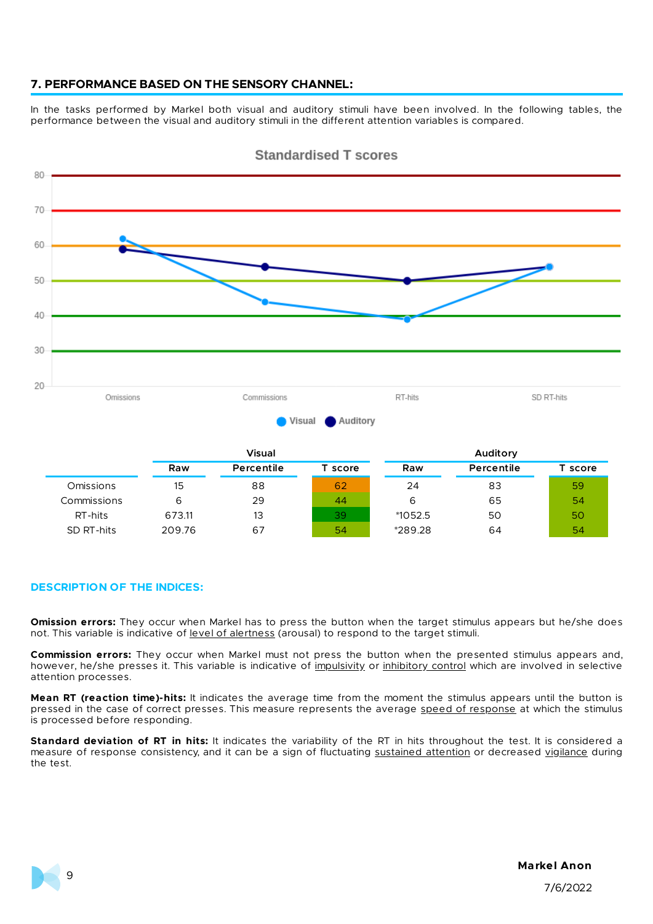## **7. PERFORMANCE BASED ON THE SENSORY CHANNEL:**

In the tasks performed by Markel both visual and auditory stimuli have been involved. In the following tables, the performance between the visual and auditory stimuli in the different attention variables is compared.



Standardised T scores

#### **DESCRIPTION OF THE INDICES:**

**Omission errors:** They occur when Markel has to press the button when the target stimulus appears but he/she does not. This variable is indicative of level of alertness (arousal) to respond to the target stimuli.

**Commission errors:** They occur when Markel must not press the button when the presented stimulus appears and, however, he/she presses it. This variable is indicative of impulsivity or inhibitory control which are involved in selective attention processes.

**Mean RT (reaction time)-hits:** It indicates the average time from the moment the stimulus appears until the button is pressed in the case of correct presses. This measure represents the average speed of response at which the stimulus is processed before responding.

**Standard deviation of RT in hits:** It indicates the variability of the RT in hits throughout the test. It is considered a measure of response consistency, and it can be a sign of fluctuating sustained attention or decreased vigilance during the test.

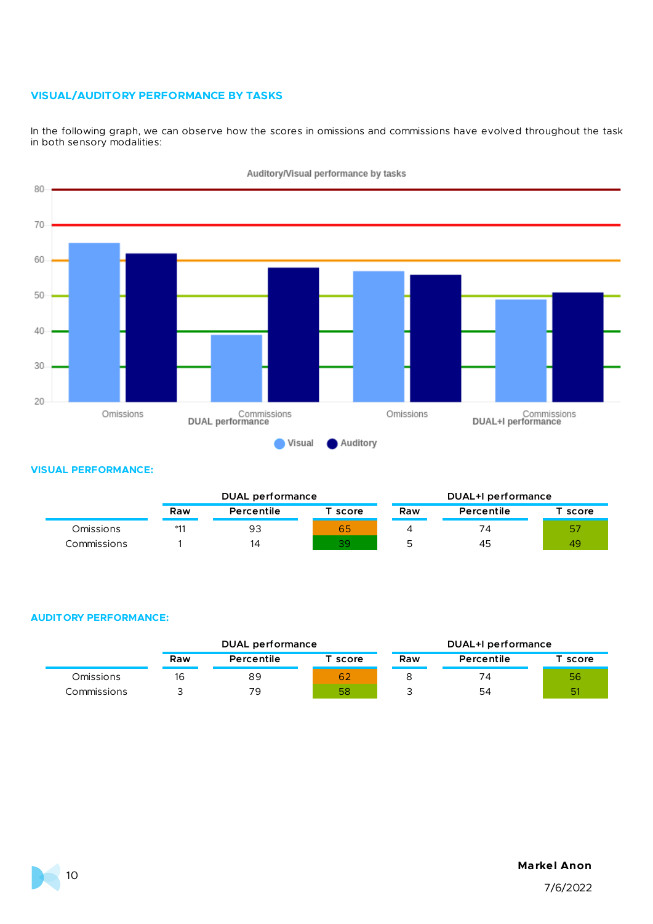## **VISUAL/AUDITORY PERFORMANCE BY TASKS**

In the following graph, we can observe how the scores in omissions and commissions have evolved throughout the task in both sensory modalities:



Auditory/Visual performance by tasks

#### **VISUAL PERFORMANCE:**

|             |       | DUAL performance |       | DUAL+I performance |            |                       |
|-------------|-------|------------------|-------|--------------------|------------|-----------------------|
|             | Raw   | Percentile       | score | Raw                | Percentile | $^\mathsf{T}$ score . |
| Omissions   | $*11$ | 93               | 65    |                    | 74         | 57                    |
| Commissions |       | 14               | 39    |                    | 45         | 49                    |

## **AUDITORY PERFORMANCE:**

|             |     | <b>DUAL performance</b> |                       |     | DUAL+I performance |         |  |
|-------------|-----|-------------------------|-----------------------|-----|--------------------|---------|--|
|             | Raw | Percentile              | $^\mathsf{T}$ score . | Raw | Percentile         | T score |  |
| Omissions   | 16  | 89                      | 62                    |     | 74                 | 56      |  |
| Commissions | ت   | 79                      | 58                    |     | 54                 | 51      |  |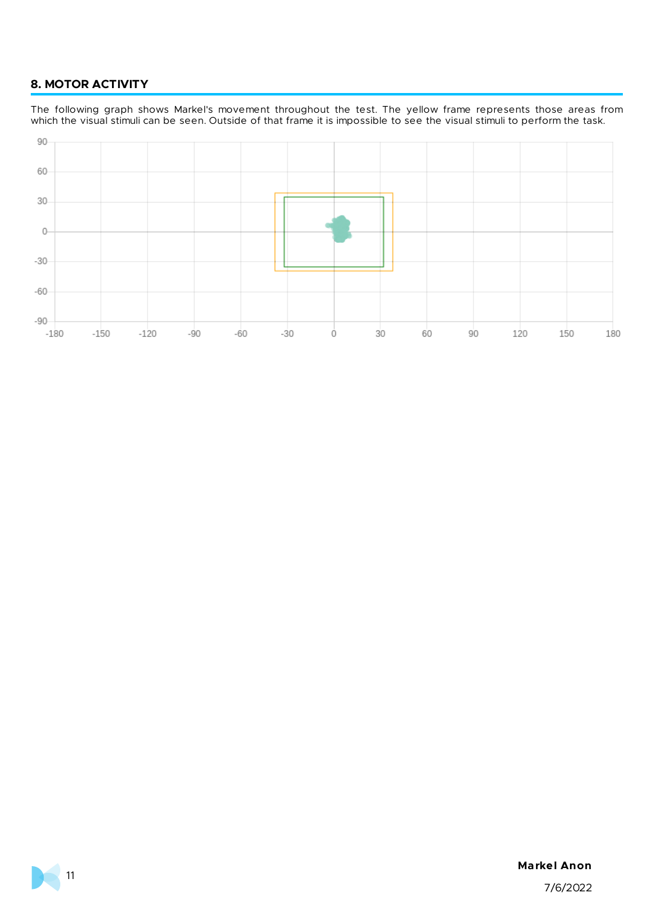# **8. MOTOR ACTIVITY**

The following graph shows Markel's movement throughout the test. The yellow frame represents those areas from which the visual stimuli can be seen. Outside of that frame it is impossible to see the visual stimuli to perform the task.



#### **Markel Anon**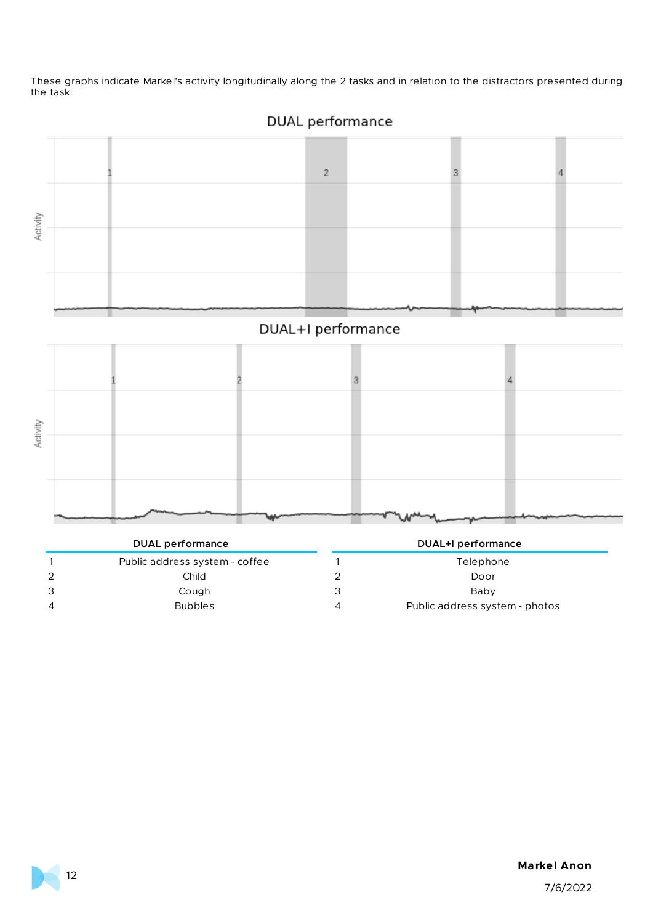These graphs indicate Markel's activity longitudinally along the 2 tasks and in relation to the distractors presented during the task:





# DUAL+I performance



| <b>DUAL</b> performance        |   | DUAL+I performance             |
|--------------------------------|---|--------------------------------|
| Public address system - coffee |   | Telephone                      |
| Child                          |   | Door                           |
| Cough                          |   | Baby                           |
| <b>Bubbles</b>                 | 4 | Public address system - photos |

## **Markel Anon**